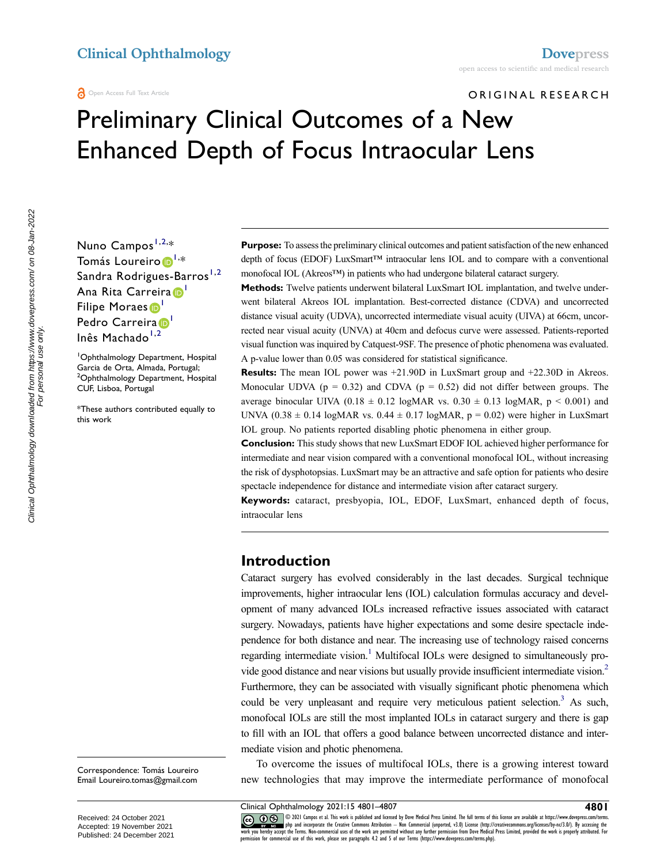ORIGINAL RESEARCH

# Preliminary Clinical Outcomes of a New Enhanced Depth of Focus Intraocular Lens

Nuno Campos<sup>[1,](#page-0-0)[2,](#page-0-1)</sup>\* Tomás Loureiro D<sup>I,</sup>∗ Sandra Rodrigues-Barros<sup>[1](#page-0-0),[2](#page-0-1)</sup> Ana Rita Carreira<sup>D</sup> Filipe Moraes<sup>1</sup> Pedro Carreira<sup>D</sup> Inês Machado<sup>[1](#page-0-0),[2](#page-0-1)</sup>

<span id="page-0-1"></span><span id="page-0-0"></span>1 Ophthalmology Department, Hospital Garcia de Orta, Almada, Portugal; 2 Ophthalmology Department, Hospital CUF, Lisboa, Portugal

\*These authors contributed equally to this work

**Purpose:** To assess the preliminary clinical outcomes and patient satisfaction of the new enhanced depth of focus (EDOF) LuxSmart™ intraocular lens IOL and to compare with a conventional monofocal IOL (Akreos™) in patients who had undergone bilateral cataract surgery.

**Methods:** Twelve patients underwent bilateral LuxSmart IOL implantation, and twelve underwent bilateral Akreos IOL implantation. Best-corrected distance (CDVA) and uncorrected distance visual acuity (UDVA), uncorrected intermediate visual acuity (UIVA) at 66cm, uncorrected near visual acuity (UNVA) at 40cm and defocus curve were assessed. Patients-reported visual function was inquired by Catquest-9SF. The presence of photic phenomena was evaluated. A p-value lower than 0.05 was considered for statistical significance.

**Results:** The mean IOL power was +21.90D in LuxSmart group and +22.30D in Akreos. Monocular UDVA ( $p = 0.32$ ) and CDVA ( $p = 0.52$ ) did not differ between groups. The average binocular UIVA (0.18  $\pm$  0.12 logMAR vs. 0.30  $\pm$  0.13 logMAR, p < 0.001) and UNVA  $(0.38 \pm 0.14 \log \text{MAR} \text{ vs. } 0.44 \pm 0.17 \log \text{MAR}, p = 0.02)$  were higher in LuxSmart IOL group. No patients reported disabling photic phenomena in either group.

**Conclusion:** This study shows that new LuxSmart EDOF IOL achieved higher performance for intermediate and near vision compared with a conventional monofocal IOL, without increasing the risk of dysphotopsias. LuxSmart may be an attractive and safe option for patients who desire spectacle independence for distance and intermediate vision after cataract surgery.

**Keywords:** cataract, presbyopia, IOL, EDOF, LuxSmart, enhanced depth of focus, intraocular lens

# **Introduction**

<span id="page-0-3"></span><span id="page-0-2"></span>Cataract surgery has evolved considerably in the last decades. Surgical technique improvements, higher intraocular lens (IOL) calculation formulas accuracy and development of many advanced IOLs increased refractive issues associated with cataract surgery. Nowadays, patients have higher expectations and some desire spectacle independence for both distance and near. The increasing use of technology raised concerns regarding intermediate vision.<sup>1</sup> Multifocal IOLs were designed to simultaneously provide good distance and near visions but usually provide insufficient intermediate vision[.2](#page-6-1)  Furthermore, they can be associated with visually significant photic phenomena which could be very unpleasant and require very meticulous patient selection.<sup>3</sup> As such, monofocal IOLs are still the most implanted IOLs in cataract surgery and there is gap to fill with an IOL that offers a good balance between uncorrected distance and intermediate vision and photic phenomena.

<span id="page-0-4"></span>To overcome the issues of multifocal IOLs, there is a growing interest toward new technologies that may improve the intermediate performance of monofocal

Clinical Ophthalmology downloaded from https://www.dovepress.com/ on 08-Jan-2022<br>For personal use only. Clinical Ophthalmology downloaded from https://www.dovepress.com/ on 08-Jan-2022 For personal use only.

Correspondence: Tomás Loureiro Email [Loureiro.tomas@gmail.com](mailto:Loureiro.tomas@gmail.com)

Clinical Ophthalmology 2021:15 4801-4807<br>
CC OD S 2021:15 4801-4807<br>
We push and incorporate the Creative Commons Attribution - Non Commercial (unspecting the full terms of this license are available at https://www.dovepre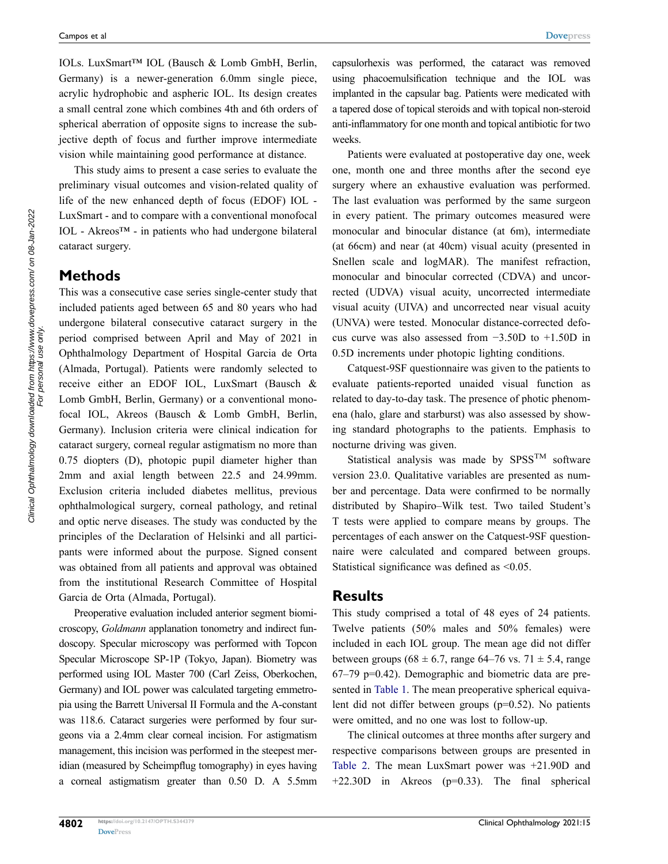IOLs. LuxSmart™ IOL (Bausch & Lomb GmbH, Berlin, Germany) is a newer-generation 6.0mm single piece, acrylic hydrophobic and aspheric IOL. Its design creates a small central zone which combines 4th and 6th orders of spherical aberration of opposite signs to increase the subjective depth of focus and further improve intermediate vision while maintaining good performance at distance.

This study aims to present a case series to evaluate the preliminary visual outcomes and vision-related quality of life of the new enhanced depth of focus (EDOF) IOL - LuxSmart - and to compare with a conventional monofocal IOL - Akreos™ - in patients who had undergone bilateral cataract surgery.

# **Methods**

This was a consecutive case series single-center study that included patients aged between 65 and 80 years who had undergone bilateral consecutive cataract surgery in the period comprised between April and May of 2021 in Ophthalmology Department of Hospital Garcia de Orta (Almada, Portugal). Patients were randomly selected to receive either an EDOF IOL, LuxSmart (Bausch & Lomb GmbH, Berlin, Germany) or a conventional monofocal IOL, Akreos (Bausch & Lomb GmbH, Berlin, Germany). Inclusion criteria were clinical indication for cataract surgery, corneal regular astigmatism no more than 0.75 diopters (D), photopic pupil diameter higher than 2mm and axial length between 22.5 and 24.99mm. Exclusion criteria included diabetes mellitus, previous ophthalmological surgery, corneal pathology, and retinal and optic nerve diseases. The study was conducted by the principles of the Declaration of Helsinki and all participants were informed about the purpose. Signed consent was obtained from all patients and approval was obtained from the institutional Research Committee of Hospital Garcia de Orta (Almada, Portugal).

Preoperative evaluation included anterior segment biomicroscopy, *Goldmann* applanation tonometry and indirect fundoscopy. Specular microscopy was performed with Topcon Specular Microscope SP-1P (Tokyo, Japan). Biometry was performed using IOL Master 700 (Carl Zeiss, Oberkochen, Germany) and IOL power was calculated targeting emmetropia using the Barrett Universal II Formula and the A-constant was 118.6. Cataract surgeries were performed by four surgeons via a 2.4mm clear corneal incision. For astigmatism management, this incision was performed in the steepest meridian (measured by Scheimpflug tomography) in eyes having a corneal astigmatism greater than 0.50 D. A 5.5mm capsulorhexis was performed, the cataract was removed using phacoemulsification technique and the IOL was implanted in the capsular bag. Patients were medicated with a tapered dose of topical steroids and with topical non-steroid anti-inflammatory for one month and topical antibiotic for two weeks.

Patients were evaluated at postoperative day one, week one, month one and three months after the second eye surgery where an exhaustive evaluation was performed. The last evaluation was performed by the same surgeon in every patient. The primary outcomes measured were monocular and binocular distance (at 6m), intermediate (at 66cm) and near (at 40cm) visual acuity (presented in Snellen scale and logMAR). The manifest refraction, monocular and binocular corrected (CDVA) and uncorrected (UDVA) visual acuity, uncorrected intermediate visual acuity (UIVA) and uncorrected near visual acuity (UNVA) were tested. Monocular distance-corrected defocus curve was also assessed from −3.50D to +1.50D in 0.5D increments under photopic lighting conditions.

Catquest-9SF questionnaire was given to the patients to evaluate patients-reported unaided visual function as related to day-to-day task. The presence of photic phenomena (halo, glare and starburst) was also assessed by showing standard photographs to the patients. Emphasis to nocturne driving was given.

Statistical analysis was made by  $SPSS^{TM}$  software version 23.0. Qualitative variables are presented as number and percentage. Data were confirmed to be normally distributed by Shapiro–Wilk test. Two tailed Student's T tests were applied to compare means by groups. The percentages of each answer on the Catquest-9SF questionnaire were calculated and compared between groups. Statistical significance was defined as <0.05.

#### **Results**

This study comprised a total of 48 eyes of 24 patients. Twelve patients (50% males and 50% females) were included in each IOL group. The mean age did not differ between groups (68  $\pm$  6.7, range 64–76 vs. 71  $\pm$  5.4, range 67–79 p=0.42). Demographic and biometric data are presented in [Table 1.](#page-2-0) The mean preoperative spherical equivalent did not differ between groups (p=0.52). No patients were omitted, and no one was lost to follow-up.

The clinical outcomes at three months after surgery and respective comparisons between groups are presented in [Table 2.](#page-2-1) The mean LuxSmart power was +21.90D and +22.30D in Akreos (p=0.33). The final spherical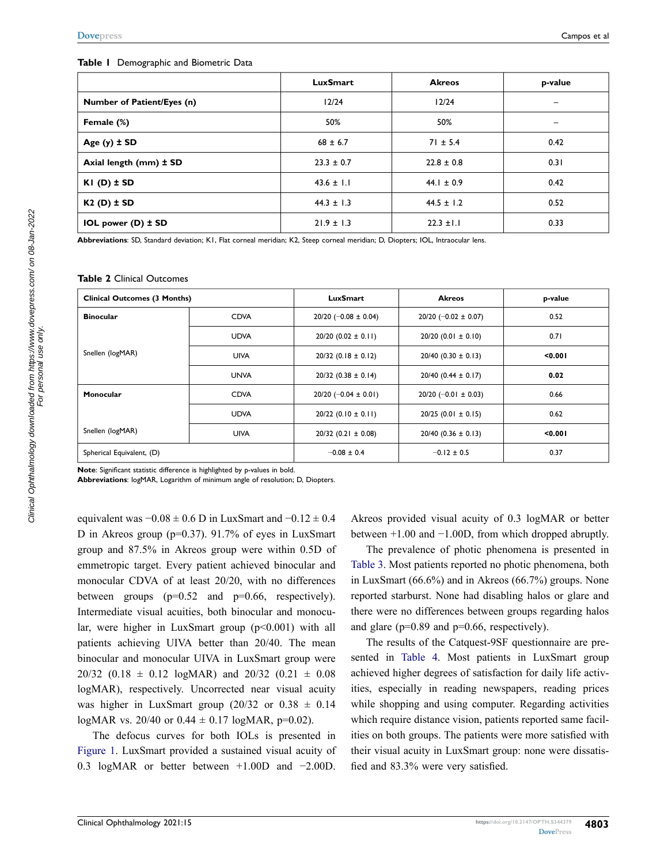#### <span id="page-2-0"></span>**Table 1** Demographic and Biometric Data

|                            | <b>LuxSmart</b> | <b>Akreos</b>  | p-value |
|----------------------------|-----------------|----------------|---------|
| Number of Patient/Eyes (n) | 12/24           | 12/24          |         |
| Female (%)                 | 50%             | 50%            |         |
| Age $(y)$ $\pm$ SD         | $68 \pm 6.7$    | $71 \pm 5.4$   | 0.42    |
| Axial length (mm) ± SD     | $23.3 \pm 0.7$  | $22.8 \pm 0.8$ | 0.31    |
| $KI$ (D) $\pm$ SD          | $43.6 \pm 1.1$  | 44.1 $\pm$ 0.9 | 0.42    |
| $K2(D) \pm SD$             | $44.3 \pm 1.3$  | $44.5 \pm 1.2$ | 0.52    |
| IOL power $(D)$ $\pm$ SD   | $21.9 \pm 1.3$  | $22.3 \pm 1.1$ | 0.33    |

**Abbreviations**: SD, Standard deviation; K1, Flat corneal meridian; K2, Steep corneal meridian; D, Diopters; IOL, Intraocular lens.

#### <span id="page-2-1"></span>**Table 2** Clinical Outcomes

| <b>Clinical Outcomes (3 Months)</b> |             | LuxSmart                   | <b>Akreos</b>              | p-value |
|-------------------------------------|-------------|----------------------------|----------------------------|---------|
| <b>Binocular</b>                    | <b>CDVA</b> | $20/20$ (-0.08 $\pm$ 0.04) | $20/20$ (-0.02 $\pm$ 0.07) | 0.52    |
|                                     | <b>UDVA</b> | $20/20$ (0.02 $\pm$ 0.11)  | $20/20$ (0.01 $\pm$ 0.10)  | 0.71    |
| Snellen (logMAR)                    | <b>UIVA</b> | $20/32$ (0.18 ± 0.12)      | $20/40$ (0.30 $\pm$ 0.13)  | < 0.001 |
|                                     | <b>UNVA</b> | $20/32$ (0.38 ± 0.14)      | $20/40$ (0.44 $\pm$ 0.17)  | 0.02    |
| Monocular                           | <b>CDVA</b> | $20/20$ (-0.04 $\pm$ 0.01) | $20/20$ (-0.01 $\pm$ 0.03) | 0.66    |
|                                     | <b>UDVA</b> | $20/22$ (0.10 $\pm$ 0.11)  | $20/25$ (0.01 $\pm$ 0.15)  | 0.62    |
| Snellen (logMAR)                    | <b>UIVA</b> | $20/32$ (0.21 ± 0.08)      | $20/40$ (0.36 ± 0.13)      | < 0.001 |
| Spherical Equivalent, (D)           |             | $-0.08 \pm 0.4$            | $-0.12 \pm 0.5$            | 0.37    |

**Note**: Significant statistic difference is highlighted by p-values in bold.

**Abbreviations**: logMAR, Logarithm of minimum angle of resolution; D, Diopters.

equivalent was  $-0.08 \pm 0.6$  D in LuxSmart and  $-0.12 \pm 0.4$ D in Akreos group (p=0.37). 91.7% of eyes in LuxSmart group and 87.5% in Akreos group were within 0.5D of emmetropic target. Every patient achieved binocular and monocular CDVA of at least 20/20, with no differences between groups  $(p=0.52 \text{ and } p=0.66, \text{ respectively}).$ Intermediate visual acuities, both binocular and monocular, were higher in LuxSmart group  $(p<0.001)$  with all patients achieving UIVA better than 20/40. The mean binocular and monocular UIVA in LuxSmart group were  $20/32$  (0.18  $\pm$  0.12 logMAR) and 20/32 (0.21  $\pm$  0.08 logMAR), respectively. Uncorrected near visual acuity was higher in LuxSmart group  $(20/32 \text{ or } 0.38 \pm 0.14)$ logMAR vs. 20/40 or  $0.44 \pm 0.17$  logMAR, p=0.02).

The defocus curves for both IOLs is presented in [Figure 1.](#page-3-0) LuxSmart provided a sustained visual acuity of 0.3 logMAR or better between +1.00D and −2.00D.

Akreos provided visual acuity of 0.3 logMAR or better between +1.00 and −1.00D, from which dropped abruptly.

The prevalence of photic phenomena is presented in [Table 3](#page-3-1). Most patients reported no photic phenomena, both in LuxSmart (66.6%) and in Akreos (66.7%) groups. None reported starburst. None had disabling halos or glare and there were no differences between groups regarding halos and glare ( $p=0.89$  and  $p=0.66$ , respectively).

The results of the Catquest-9SF questionnaire are presented in [Table 4](#page-4-0). Most patients in LuxSmart group achieved higher degrees of satisfaction for daily life activities, especially in reading newspapers, reading prices while shopping and using computer. Regarding activities which require distance vision, patients reported same facilities on both groups. The patients were more satisfied with their visual acuity in LuxSmart group: none were dissatisfied and 83.3% were very satisfied.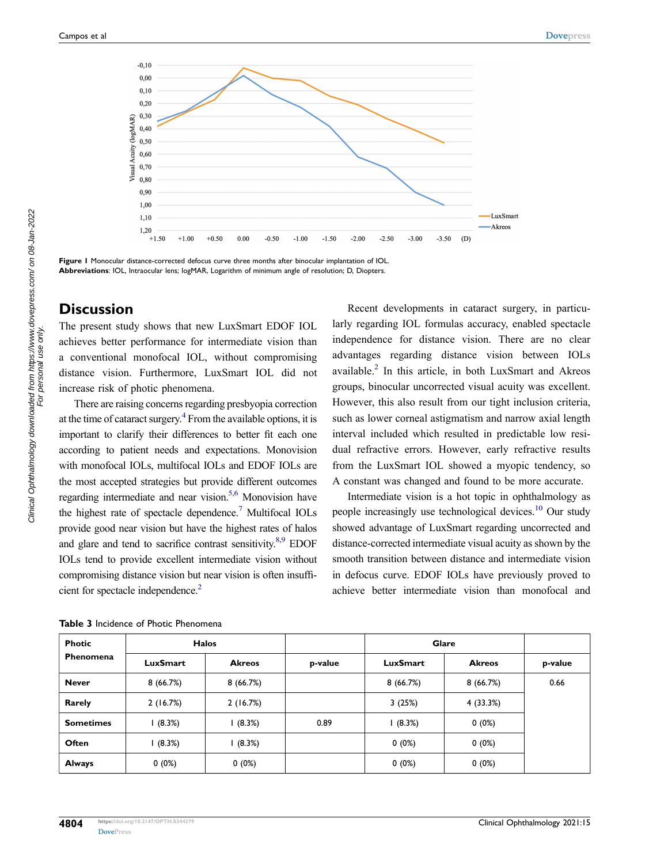<span id="page-3-0"></span>

**Figure 1** Monocular distance-corrected defocus curve three months after binocular implantation of IOL. **Abbreviations**: IOL, Intraocular lens; logMAR, Logarithm of minimum angle of resolution; D, Diopters.

# **Discussion**

The present study shows that new LuxSmart EDOF IOL achieves better performance for intermediate vision than a conventional monofocal IOL, without compromising distance vision. Furthermore, LuxSmart IOL did not increase risk of photic phenomena.

<span id="page-3-4"></span><span id="page-3-3"></span><span id="page-3-2"></span>There are raising concerns regarding presbyopia correction at the time of cataract surgery. $4$  From the available options, it is important to clarify their differences to better fit each one according to patient needs and expectations. Monovision with monofocal IOLs, multifocal IOLs and EDOF IOLs are the most accepted strategies but provide different outcomes regarding intermediate and near vision.<sup>5,[6](#page-6-5)</sup> Monovision have the highest rate of spectacle dependence.<sup>[7](#page-6-6)</sup> Multifocal IOLs provide good near vision but have the highest rates of halos and glare and tend to sacrifice contrast sensitivity. $8.9$  $8.9$  EDOF IOLs tend to provide excellent intermediate vision without compromising distance vision but near vision is often insufficient for spectacle independence.<sup>2</sup>

Recent developments in cataract surgery, in particularly regarding IOL formulas accuracy, enabled spectacle independence for distance vision. There are no clear advantages regarding distance vision between IOLs available[.2](#page-6-1) In this article, in both LuxSmart and Akreos groups, binocular uncorrected visual acuity was excellent. However, this also result from our tight inclusion criteria, such as lower corneal astigmatism and narrow axial length interval included which resulted in predictable low residual refractive errors. However, early refractive results from the LuxSmart IOL showed a myopic tendency, so A constant was changed and found to be more accurate.

<span id="page-3-6"></span>Intermediate vision is a hot topic in ophthalmology as people increasingly use technological devices[.10](#page-6-9) Our study showed advantage of LuxSmart regarding uncorrected and distance-corrected intermediate visual acuity as shown by the smooth transition between distance and intermediate vision in defocus curve. EDOF IOLs have previously proved to achieve better intermediate vision than monofocal and

| <b>Photic</b><br>Phenomena | <b>Halos</b>    |               |         | <b>Glare</b>    |               |         |
|----------------------------|-----------------|---------------|---------|-----------------|---------------|---------|
|                            | <b>LuxSmart</b> | <b>Akreos</b> | p-value | <b>LuxSmart</b> | <b>Akreos</b> | p-value |
| <b>Never</b>               | 8(66.7%)        | 8(66.7%)      |         | 8(66.7%)        | 8(66.7%)      | 0.66    |
| Rarely                     | 2(16.7%)        | 2(16.7%)      |         | 3(25%)          | 4 (33.3%)     |         |
| <b>Sometimes</b>           | (8.3%)          | (8.3%)        | 0.89    | (8.3%)          | $0(0\%)$      |         |
| Often                      | (8.3%)          | (8.3%)        |         | $0(0\%)$        | $0(0\%)$      |         |
| <b>Always</b>              | $0(0\%)$        | 0(0%)         |         | $0(0\%)$        | $0(0\%)$      |         |

<span id="page-3-5"></span><span id="page-3-1"></span>**Table 3** Incidence of Photic Phenomena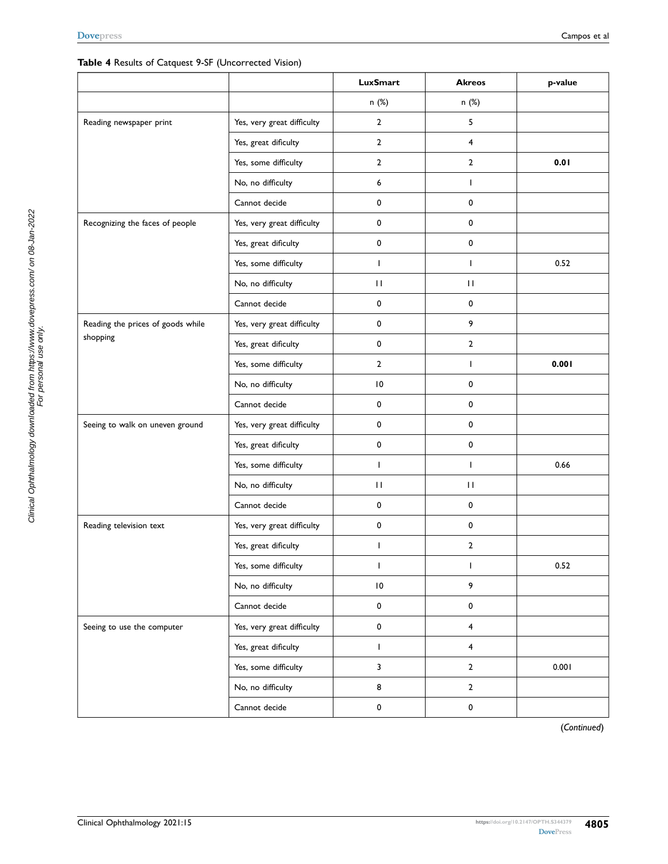## <span id="page-4-0"></span>**Table 4** Results of Catquest 9-SF (Uncorrected Vision)

|                                   |                            | <b>LuxSmart</b> | <b>Akreos</b>           | p-value |
|-----------------------------------|----------------------------|-----------------|-------------------------|---------|
|                                   |                            | n (%)           | n (%)                   |         |
| Reading newspaper print           | Yes, very great difficulty | $\overline{2}$  | 5                       |         |
|                                   | Yes, great dificulty       | $\overline{2}$  | $\overline{4}$          |         |
|                                   | Yes, some difficulty       | $\overline{2}$  | $\overline{2}$          | 0.01    |
|                                   | No, no difficulty          | 6               | $\mathbf{I}$            |         |
|                                   | Cannot decide              | 0               | $\mathbf 0$             |         |
| Recognizing the faces of people   | Yes, very great difficulty | 0               | 0                       |         |
|                                   | Yes, great dificulty       | 0               | $\mathbf 0$             |         |
|                                   | Yes, some difficulty       | $\overline{1}$  | $\mathbf{I}$            | 0.52    |
|                                   | No, no difficulty          | $\mathbf{H}$    | $\mathbf{H}$            |         |
|                                   | Cannot decide              | 0               | $\mathbf 0$             |         |
| Reading the prices of goods while | Yes, very great difficulty | 0               | 9                       |         |
| shopping                          | Yes, great dificulty       | 0               | $\overline{2}$          |         |
|                                   | Yes, some difficulty       | $\overline{2}$  | $\mathbf{I}$            | 0.001   |
|                                   | No, no difficulty          | $\vert 0$       | 0                       |         |
|                                   | Cannot decide              | 0               | 0                       |         |
| Seeing to walk on uneven ground   | Yes, very great difficulty | 0               | $\mathbf 0$             |         |
|                                   | Yes, great dificulty       | 0               | 0                       |         |
|                                   | Yes, some difficulty       | J.              | $\mathbf{I}$            | 0.66    |
|                                   | No, no difficulty          | $\mathbf{H}$    | $\mathbf{H}$            |         |
|                                   | Cannot decide              | 0               | $\mathbf 0$             |         |
| Reading television text           | Yes, very great difficulty | 0               | $\mathbf 0$             |         |
|                                   | Yes, great dificulty       | $\mathbf{I}$    | $\overline{2}$          |         |
|                                   | Yes, some difficulty       | J.              | $\mathbf{I}$            | 0.52    |
|                                   | No, no difficulty          | $\,$ l $\,$     | 9                       |         |
|                                   | Cannot decide              | 0               | $\mathbf 0$             |         |
| Seeing to use the computer        | Yes, very great difficulty | $\pmb{0}$       | $\overline{\mathbf{4}}$ |         |
|                                   | Yes, great dificulty       | $\mathbf{I}$    | $\overline{\mathbf{4}}$ |         |
|                                   | Yes, some difficulty       | 3               | $\overline{2}$          | 0.001   |
|                                   | No, no difficulty          | 8               | $\mathbf{2}$            |         |
|                                   | Cannot decide              | $\pmb{0}$       | $\pmb{0}$               |         |

(*Continued*)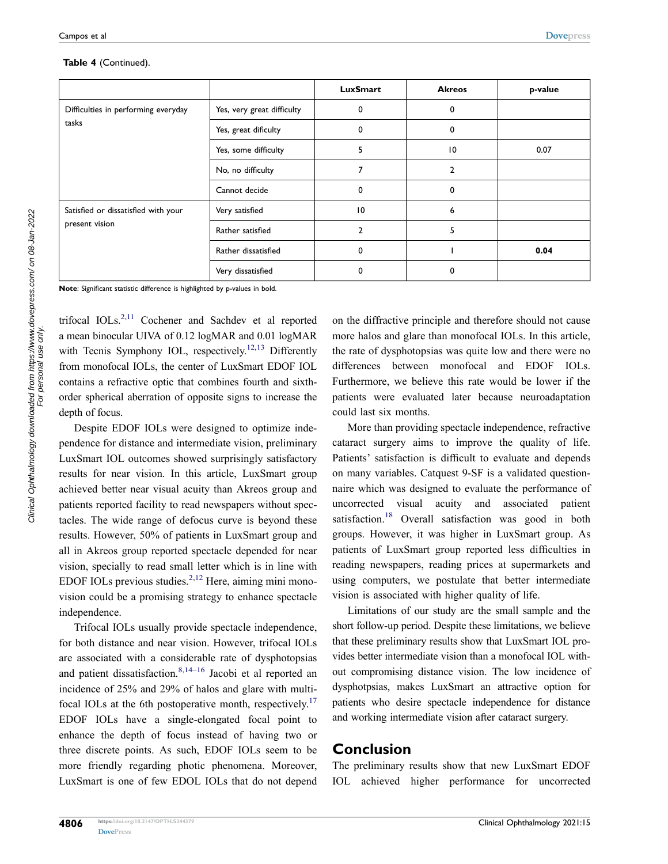|                                                       |                            | <b>LuxSmart</b> | <b>Akreos</b> | p-value |
|-------------------------------------------------------|----------------------------|-----------------|---------------|---------|
| Difficulties in performing everyday<br>tasks          | Yes, very great difficulty | 0               | 0             |         |
|                                                       | Yes, great dificulty       | 0               | 0             |         |
|                                                       | Yes, some difficulty       | 5               | 10            | 0.07    |
|                                                       | No, no difficulty          | 7               | 2             |         |
|                                                       | Cannot decide              | 0               | 0             |         |
| Satisfied or dissatisfied with your<br>present vision | Very satisfied             | $\overline{10}$ | 6             |         |
|                                                       | Rather satisfied           | $\overline{2}$  | 5             |         |
|                                                       | Rather dissatisfied        | 0               |               | 0.04    |
|                                                       | Very dissatisfied          | 0               | 0             |         |

#### **Table 4** (Continued).

**Note**: Significant statistic difference is highlighted by p-values in bold.

<span id="page-5-2"></span><span id="page-5-0"></span>trifocal  $\text{IOLs}^{2,11}$  $\text{IOLs}^{2,11}$  $\text{IOLs}^{2,11}$  $\text{IOLs}^{2,11}$  Cochener and Sachdev et al reported a mean binocular UIVA of 0.12 logMAR and 0.01 logMAR with Tecnis Symphony IOL, respectively.<sup>12,13</sup> Differently from monofocal IOLs, the center of LuxSmart EDOF IOL contains a refractive optic that combines fourth and sixthorder spherical aberration of opposite signs to increase the depth of focus.

Despite EDOF IOLs were designed to optimize independence for distance and intermediate vision, preliminary LuxSmart IOL outcomes showed surprisingly satisfactory results for near vision. In this article, LuxSmart group achieved better near visual acuity than Akreos group and patients reported facility to read newspapers without spectacles. The wide range of defocus curve is beyond these results. However, 50% of patients in LuxSmart group and all in Akreos group reported spectacle depended for near vision, specially to read small letter which is in line with EDOF IOLs previous studies.<sup>2,[12](#page-6-11)</sup> Here, aiming mini monovision could be a promising strategy to enhance spectacle independence.

<span id="page-5-4"></span><span id="page-5-3"></span><span id="page-5-1"></span>Trifocal IOLs usually provide spectacle independence, for both distance and near vision. However, trifocal IOLs are associated with a considerable rate of dysphotopsias and patient dissatisfaction.<sup>[8](#page-6-7)[,14–](#page-6-13)16</sup> Jacobi et al reported an incidence of 25% and 29% of halos and glare with multifocal IOLs at the 6th postoperative month, respectively.<sup>17</sup> EDOF IOLs have a single-elongated focal point to enhance the depth of focus instead of having two or three discrete points. As such, EDOF IOLs seem to be more friendly regarding photic phenomena. Moreover, LuxSmart is one of few EDOL IOLs that do not depend on the diffractive principle and therefore should not cause more halos and glare than monofocal IOLs. In this article, the rate of dysphotopsias was quite low and there were no differences between monofocal and EDOF IOLs. Furthermore, we believe this rate would be lower if the patients were evaluated later because neuroadaptation could last six months.

<span id="page-5-5"></span>More than providing spectacle independence, refractive cataract surgery aims to improve the quality of life. Patients' satisfaction is difficult to evaluate and depends on many variables. Catquest 9-SF is a validated questionnaire which was designed to evaluate the performance of uncorrected visual acuity and associated patient satisfaction.<sup>[18](#page-6-16)</sup> Overall satisfaction was good in both groups. However, it was higher in LuxSmart group. As patients of LuxSmart group reported less difficulties in reading newspapers, reading prices at supermarkets and using computers, we postulate that better intermediate vision is associated with higher quality of life.

Limitations of our study are the small sample and the short follow-up period. Despite these limitations, we believe that these preliminary results show that LuxSmart IOL provides better intermediate vision than a monofocal IOL without compromising distance vision. The low incidence of dysphotpsias, makes LuxSmart an attractive option for patients who desire spectacle independence for distance and working intermediate vision after cataract surgery.

# **Conclusion**

The preliminary results show that new LuxSmart EDOF IOL achieved higher performance for uncorrected